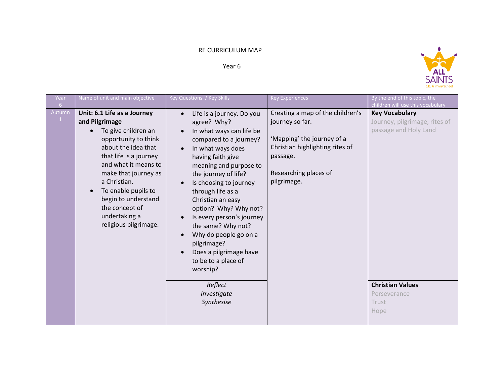## RE CURRICULUM MAP

Year 6



| Year<br>6 <sup>1</sup>    | Name of unit and main objective                                                                                                                                                                                                                                                                                                      | Key Questions / Key Skills                                                                                                                                                                                                                                                                                                                                                                                                                                                              | <b>Key Experiences</b>                                                                                                                                                   | By the end of this topic, the<br>children will use this vocabulary                                                                          |
|---------------------------|--------------------------------------------------------------------------------------------------------------------------------------------------------------------------------------------------------------------------------------------------------------------------------------------------------------------------------------|-----------------------------------------------------------------------------------------------------------------------------------------------------------------------------------------------------------------------------------------------------------------------------------------------------------------------------------------------------------------------------------------------------------------------------------------------------------------------------------------|--------------------------------------------------------------------------------------------------------------------------------------------------------------------------|---------------------------------------------------------------------------------------------------------------------------------------------|
| Autumn<br>$\vert 1 \vert$ | Unit: 6.1 Life as a Journey<br>and Pilgrimage<br>To give children an<br>opportunity to think<br>about the idea that<br>that life is a journey<br>and what it means to<br>make that journey as<br>a Christian.<br>To enable pupils to<br>$\bullet$<br>begin to understand<br>the concept of<br>undertaking a<br>religious pilgrimage. | Life is a journey. Do you<br>agree? Why?<br>In what ways can life be<br>compared to a journey?<br>In what ways does<br>having faith give<br>meaning and purpose to<br>the journey of life?<br>Is choosing to journey<br>through life as a<br>Christian an easy<br>option? Why? Why not?<br>Is every person's journey<br>the same? Why not?<br>Why do people go on a<br>pilgrimage?<br>Does a pilgrimage have<br>to be to a place of<br>worship?<br>Reflect<br>Investigate<br>Synthesise | Creating a map of the children's<br>journey so far.<br>'Mapping' the journey of a<br>Christian highlighting rites of<br>passage.<br>Researching places of<br>pilgrimage. | <b>Key Vocabulary</b><br>Journey, pilgrimage, rites of<br>passage and Holy Land<br><b>Christian Values</b><br>Perseverance<br>Trust<br>Hope |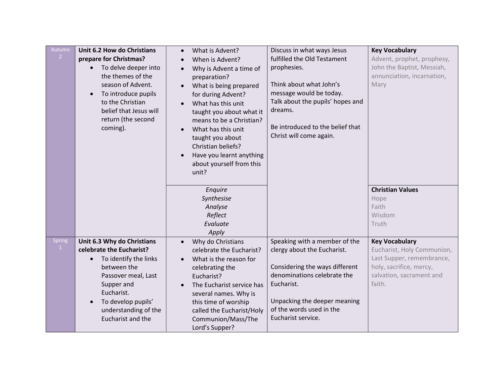| Autumn<br>$\overline{2}$         | Unit 6.2 How do Christians<br>prepare for Christmas?<br>To delve deeper into<br>the themes of the<br>season of Advent.<br>To introduce pupils<br>to the Christian                                                                 | What is Advent?<br>$\bullet$<br>When is Advent?<br>Why is Advent a time of<br>preparation?<br>What is being prepared<br>$\bullet$<br>for during Advent?<br>What has this unit                                                                                            | Discuss in what ways Jesus<br>fulfilled the Old Testament<br>prophesies.<br>Think about what John's<br>message would be today.<br>Talk about the pupils' hopes and<br>dreams.                                                 | <b>Key Vocabulary</b><br>Advent, prophet, prophesy,<br>John the Baptist, Messiah,<br>annunciation, incarnation,<br>Mary                           |
|----------------------------------|-----------------------------------------------------------------------------------------------------------------------------------------------------------------------------------------------------------------------------------|--------------------------------------------------------------------------------------------------------------------------------------------------------------------------------------------------------------------------------------------------------------------------|-------------------------------------------------------------------------------------------------------------------------------------------------------------------------------------------------------------------------------|---------------------------------------------------------------------------------------------------------------------------------------------------|
|                                  | belief that Jesus will<br>return (the second<br>coming).                                                                                                                                                                          | taught you about what it<br>means to be a Christian?<br>What has this unit<br>taught you about<br>Christian beliefs?<br>Have you learnt anything<br>about yourself from this<br>unit?                                                                                    | Be introduced to the belief that<br>Christ will come again.                                                                                                                                                                   |                                                                                                                                                   |
|                                  |                                                                                                                                                                                                                                   | Enquire<br>Synthesise<br>Analyse<br>Reflect<br>Evaluate<br>Apply                                                                                                                                                                                                         |                                                                                                                                                                                                                               | <b>Christian Values</b><br>Hope<br>Faith<br>Wisdom<br>Truth                                                                                       |
| <b>Spring</b><br>$\vert 1 \vert$ | Unit 6.3 Why do Christians<br>celebrate the Eucharist?<br>To identify the links<br>$\bullet$<br>between the<br>Passover meal, Last<br>Supper and<br>Eucharist.<br>To develop pupils'<br>understanding of the<br>Eucharist and the | Why do Christians<br>$\bullet$<br>celebrate the Eucharist?<br>What is the reason for<br>celebrating the<br>Eucharist?<br>The Eucharist service has<br>several names. Why is<br>this time of worship<br>called the Eucharist/Holy<br>Communion/Mass/The<br>Lord's Supper? | Speaking with a member of the<br>clergy about the Eucharist.<br>Considering the ways different<br>denominations celebrate the<br>Eucharist.<br>Unpacking the deeper meaning<br>of the words used in the<br>Eucharist service. | <b>Key Vocabulary</b><br>Eucharist, Holy Communion,<br>Last Supper, remembrance,<br>holy, sacrifice, mercy,<br>salvation, sacrament and<br>faith. |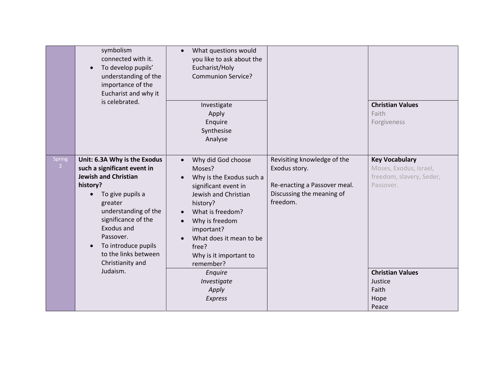|                          | symbolism<br>connected with it.<br>To develop pupils'<br>understanding of the<br>importance of the<br>Eucharist and why it<br>is celebrated.                                                                                                                                                   | What questions would<br>$\bullet$<br>you like to ask about the<br>Eucharist/Holy<br><b>Communion Service?</b><br>Investigate<br>Apply<br>Enquire<br>Synthesise<br>Analyse                                                                                                                                                                                                 |                                                                                                                       | <b>Christian Values</b><br>Faith<br>Forgiveness                                                                                                          |
|--------------------------|------------------------------------------------------------------------------------------------------------------------------------------------------------------------------------------------------------------------------------------------------------------------------------------------|---------------------------------------------------------------------------------------------------------------------------------------------------------------------------------------------------------------------------------------------------------------------------------------------------------------------------------------------------------------------------|-----------------------------------------------------------------------------------------------------------------------|----------------------------------------------------------------------------------------------------------------------------------------------------------|
| Spring<br>2 <sup>7</sup> | Unit: 6.3A Why is the Exodus<br>such a significant event in<br><b>Jewish and Christian</b><br>history?<br>To give pupils a<br>greater<br>understanding of the<br>significance of the<br>Exodus and<br>Passover.<br>To introduce pupils<br>to the links between<br>Christianity and<br>Judaism. | Why did God choose<br>$\bullet$<br>Moses?<br>Why is the Exodus such a<br>$\bullet$<br>significant event in<br>Jewish and Christian<br>history?<br>What is freedom?<br>$\bullet$<br>Why is freedom<br>$\bullet$<br>important?<br>What does it mean to be<br>$\bullet$<br>free?<br>Why is it important to<br>remember?<br>Enquire<br>Investigate<br>Apply<br><b>Express</b> | Revisiting knowledge of the<br>Exodus story.<br>Re-enacting a Passover meal.<br>Discussing the meaning of<br>freedom. | <b>Key Vocabulary</b><br>Moses, Exodus, Israel,<br>freedom, slavery, Seder,<br>Passover.<br><b>Christian Values</b><br>Justice<br>Faith<br>Hope<br>Peace |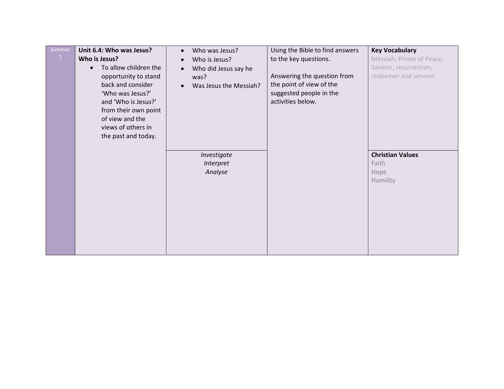| Summer | Unit 6.4: Who was Jesus?<br>Who is Jesus?<br>To allow children the<br>$\bullet$<br>opportunity to stand<br>back and consider<br>'Who was Jesus?'<br>and 'Who is Jesus?'<br>from their own point<br>of view and the<br>views of others in<br>the past and today. | Who was Jesus?<br>$\bullet$<br>Who is Jesus?<br>$\bullet$<br>Who did Jesus say he<br>$\bullet$<br>was?<br>Was Jesus the Messiah?<br>$\bullet$ | Using the Bible to find answers<br>to the key questions.<br>Answering the question from<br>the point of view of the<br>suggested people in the<br>activities below. | <b>Key Vocabulary</b><br>Messiah, Prince of Peace,<br>Saviour, resurrection,<br>redeemer and servant. |
|--------|-----------------------------------------------------------------------------------------------------------------------------------------------------------------------------------------------------------------------------------------------------------------|-----------------------------------------------------------------------------------------------------------------------------------------------|---------------------------------------------------------------------------------------------------------------------------------------------------------------------|-------------------------------------------------------------------------------------------------------|
|        |                                                                                                                                                                                                                                                                 | Investigate<br>Interpret<br>Analyse                                                                                                           |                                                                                                                                                                     | <b>Christian Values</b><br>Faith<br>Hope<br>Humility                                                  |